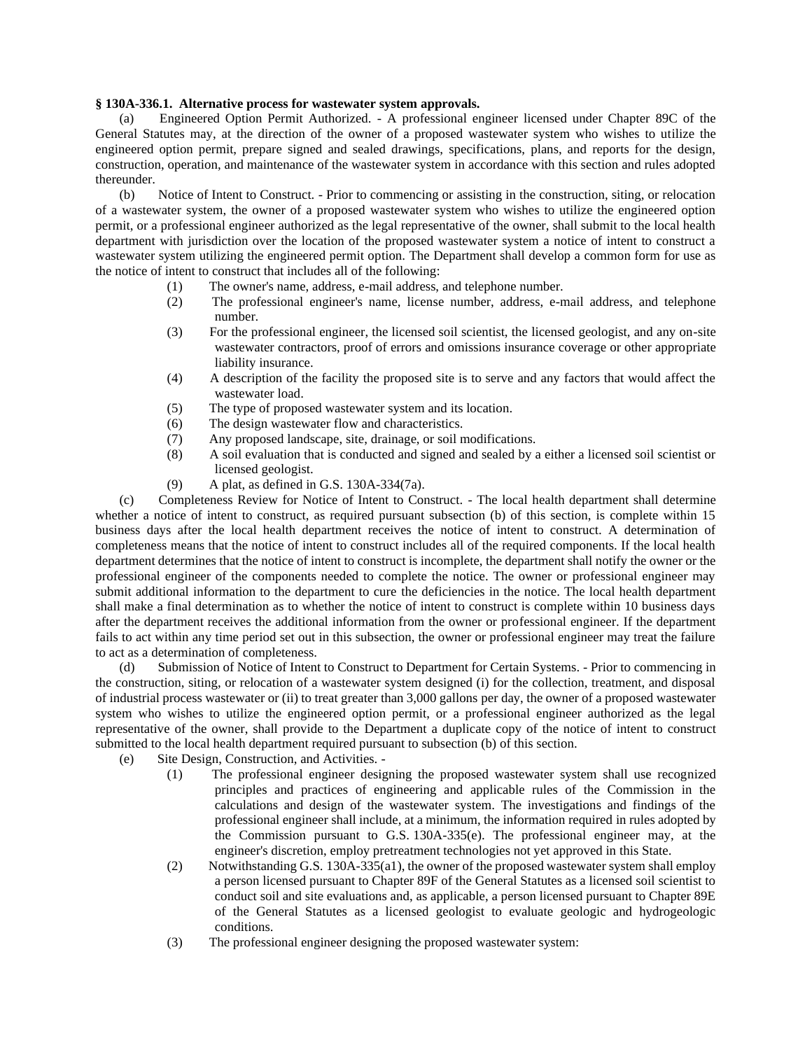## **§ 130A-336.1. Alternative process for wastewater system approvals.**

(a) Engineered Option Permit Authorized. - A professional engineer licensed under Chapter 89C of the General Statutes may, at the direction of the owner of a proposed wastewater system who wishes to utilize the engineered option permit, prepare signed and sealed drawings, specifications, plans, and reports for the design, construction, operation, and maintenance of the wastewater system in accordance with this section and rules adopted thereunder.

(b) Notice of Intent to Construct. - Prior to commencing or assisting in the construction, siting, or relocation of a wastewater system, the owner of a proposed wastewater system who wishes to utilize the engineered option permit, or a professional engineer authorized as the legal representative of the owner, shall submit to the local health department with jurisdiction over the location of the proposed wastewater system a notice of intent to construct a wastewater system utilizing the engineered permit option. The Department shall develop a common form for use as the notice of intent to construct that includes all of the following:

- (1) The owner's name, address, e-mail address, and telephone number.
- (2) The professional engineer's name, license number, address, e-mail address, and telephone number.
- (3) For the professional engineer, the licensed soil scientist, the licensed geologist, and any on-site wastewater contractors, proof of errors and omissions insurance coverage or other appropriate liability insurance.
- (4) A description of the facility the proposed site is to serve and any factors that would affect the wastewater load.
- (5) The type of proposed wastewater system and its location.
- (6) The design wastewater flow and characteristics.
- (7) Any proposed landscape, site, drainage, or soil modifications.
- (8) A soil evaluation that is conducted and signed and sealed by a either a licensed soil scientist or licensed geologist.
- (9) A plat, as defined in G.S. 130A-334(7a).

(c) Completeness Review for Notice of Intent to Construct. - The local health department shall determine whether a notice of intent to construct, as required pursuant subsection (b) of this section, is complete within 15 business days after the local health department receives the notice of intent to construct. A determination of completeness means that the notice of intent to construct includes all of the required components. If the local health department determines that the notice of intent to construct is incomplete, the department shall notify the owner or the professional engineer of the components needed to complete the notice. The owner or professional engineer may submit additional information to the department to cure the deficiencies in the notice. The local health department shall make a final determination as to whether the notice of intent to construct is complete within 10 business days after the department receives the additional information from the owner or professional engineer. If the department fails to act within any time period set out in this subsection, the owner or professional engineer may treat the failure to act as a determination of completeness.

(d) Submission of Notice of Intent to Construct to Department for Certain Systems. - Prior to commencing in the construction, siting, or relocation of a wastewater system designed (i) for the collection, treatment, and disposal of industrial process wastewater or (ii) to treat greater than 3,000 gallons per day, the owner of a proposed wastewater system who wishes to utilize the engineered option permit, or a professional engineer authorized as the legal representative of the owner, shall provide to the Department a duplicate copy of the notice of intent to construct submitted to the local health department required pursuant to subsection (b) of this section.

- (e) Site Design, Construction, and Activities.
	- (1) The professional engineer designing the proposed wastewater system shall use recognized principles and practices of engineering and applicable rules of the Commission in the calculations and design of the wastewater system. The investigations and findings of the professional engineer shall include, at a minimum, the information required in rules adopted by the Commission pursuant to G.S.  $130A-335(e)$ . The professional engineer may, at the engineer's discretion, employ pretreatment technologies not yet approved in this State.
	- (2) Notwithstanding G.S. 130A-335(a1), the owner of the proposed wastewater system shall employ a person licensed pursuant to Chapter 89F of the General Statutes as a licensed soil scientist to conduct soil and site evaluations and, as applicable, a person licensed pursuant to Chapter 89E of the General Statutes as a licensed geologist to evaluate geologic and hydrogeologic conditions.
	- (3) The professional engineer designing the proposed wastewater system: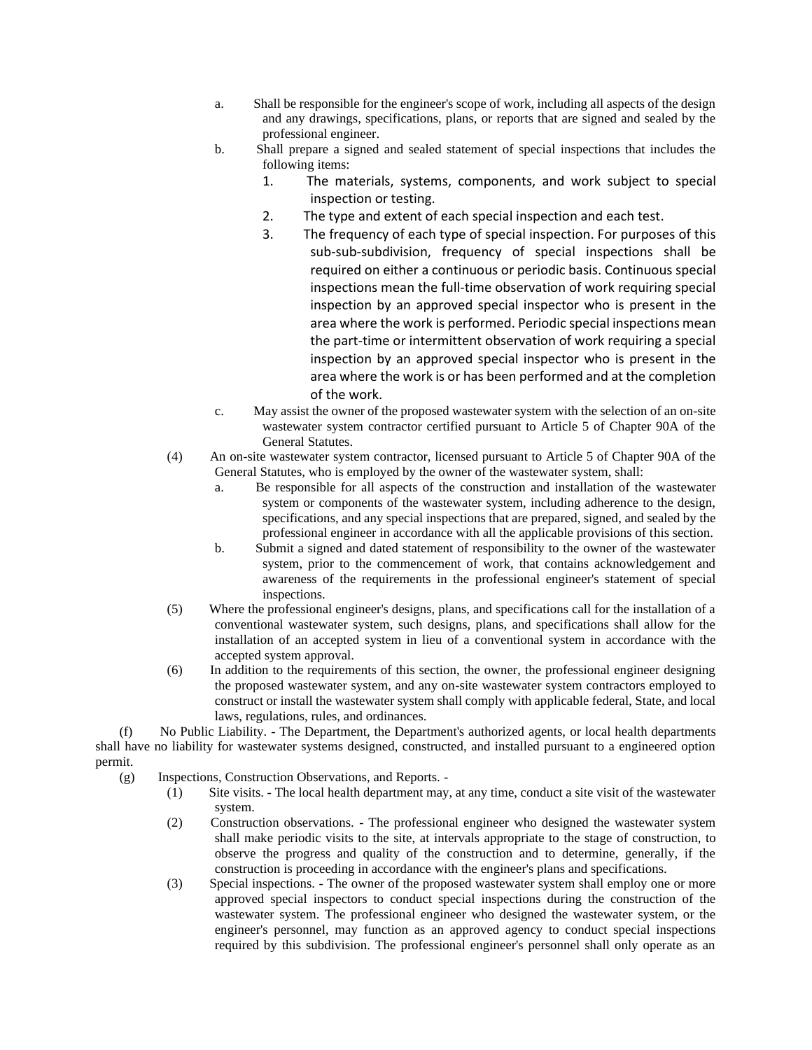- a. Shall be responsible for the engineer's scope of work, including all aspects of the design and any drawings, specifications, plans, or reports that are signed and sealed by the professional engineer.
- b. Shall prepare a signed and sealed statement of special inspections that includes the following items:
	- 1. The materials, systems, components, and work subject to special inspection or testing.
	- 2. The type and extent of each special inspection and each test.
	- 3. The frequency of each type of special inspection. For purposes of this sub-sub-subdivision, frequency of special inspections shall be required on either a continuous or periodic basis. Continuous special inspections mean the full-time observation of work requiring special inspection by an approved special inspector who is present in the area where the work is performed. Periodic special inspections mean the part-time or intermittent observation of work requiring a special inspection by an approved special inspector who is present in the area where the work is or has been performed and at the completion of the work.
- c. May assist the owner of the proposed wastewater system with the selection of an on-site wastewater system contractor certified pursuant to Article 5 of Chapter 90A of the General Statutes.
- (4) An on-site wastewater system contractor, licensed pursuant to Article 5 of Chapter 90A of the General Statutes, who is employed by the owner of the wastewater system, shall:
	- a. Be responsible for all aspects of the construction and installation of the wastewater system or components of the wastewater system, including adherence to the design, specifications, and any special inspections that are prepared, signed, and sealed by the professional engineer in accordance with all the applicable provisions of this section.
	- b. Submit a signed and dated statement of responsibility to the owner of the wastewater system, prior to the commencement of work, that contains acknowledgement and awareness of the requirements in the professional engineer's statement of special inspections.
- (5) Where the professional engineer's designs, plans, and specifications call for the installation of a conventional wastewater system, such designs, plans, and specifications shall allow for the installation of an accepted system in lieu of a conventional system in accordance with the accepted system approval.
- (6) In addition to the requirements of this section, the owner, the professional engineer designing the proposed wastewater system, and any on-site wastewater system contractors employed to construct or install the wastewater system shall comply with applicable federal, State, and local laws, regulations, rules, and ordinances.

(f) No Public Liability. - The Department, the Department's authorized agents, or local health departments shall have no liability for wastewater systems designed, constructed, and installed pursuant to a engineered option permit.

- (g) Inspections, Construction Observations, and Reports.
	- (1) Site visits. The local health department may, at any time, conduct a site visit of the wastewater system.
	- (2) Construction observations. The professional engineer who designed the wastewater system shall make periodic visits to the site, at intervals appropriate to the stage of construction, to observe the progress and quality of the construction and to determine, generally, if the construction is proceeding in accordance with the engineer's plans and specifications.
	- (3) Special inspections. The owner of the proposed wastewater system shall employ one or more approved special inspectors to conduct special inspections during the construction of the wastewater system. The professional engineer who designed the wastewater system, or the engineer's personnel, may function as an approved agency to conduct special inspections required by this subdivision. The professional engineer's personnel shall only operate as an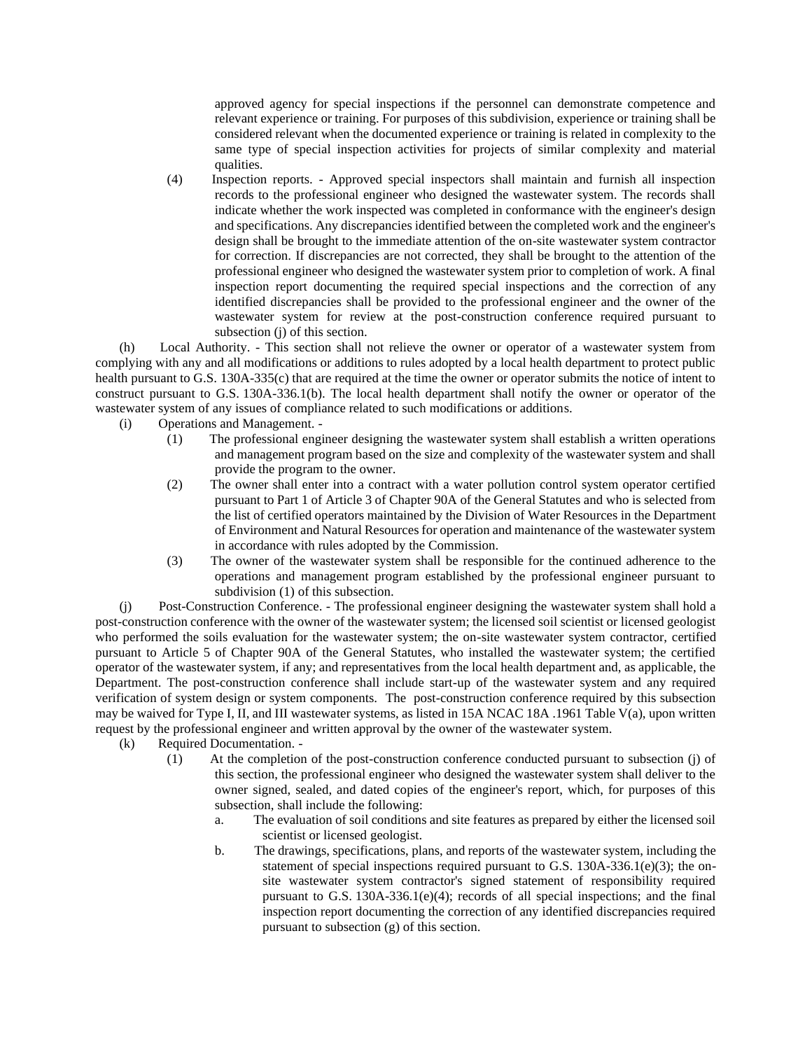approved agency for special inspections if the personnel can demonstrate competence and relevant experience or training. For purposes of this subdivision, experience or training shall be considered relevant when the documented experience or training is related in complexity to the same type of special inspection activities for projects of similar complexity and material qualities.

(4) Inspection reports. - Approved special inspectors shall maintain and furnish all inspection records to the professional engineer who designed the wastewater system. The records shall indicate whether the work inspected was completed in conformance with the engineer's design and specifications. Any discrepancies identified between the completed work and the engineer's design shall be brought to the immediate attention of the on-site wastewater system contractor for correction. If discrepancies are not corrected, they shall be brought to the attention of the professional engineer who designed the wastewater system prior to completion of work. A final inspection report documenting the required special inspections and the correction of any identified discrepancies shall be provided to the professional engineer and the owner of the wastewater system for review at the post-construction conference required pursuant to subsection (j) of this section.

(h) Local Authority. - This section shall not relieve the owner or operator of a wastewater system from complying with any and all modifications or additions to rules adopted by a local health department to protect public health pursuant to G.S. 130A-335(c) that are required at the time the owner or operator submits the notice of intent to construct pursuant to G.S. 130A-336.1(b). The local health department shall notify the owner or operator of the wastewater system of any issues of compliance related to such modifications or additions.

- (i) Operations and Management.
	- (1) The professional engineer designing the wastewater system shall establish a written operations and management program based on the size and complexity of the wastewater system and shall provide the program to the owner.
	- (2) The owner shall enter into a contract with a water pollution control system operator certified pursuant to Part 1 of Article 3 of Chapter 90A of the General Statutes and who is selected from the list of certified operators maintained by the Division of Water Resources in the Department of Environment and Natural Resources for operation and maintenance of the wastewater system in accordance with rules adopted by the Commission.
	- (3) The owner of the wastewater system shall be responsible for the continued adherence to the operations and management program established by the professional engineer pursuant to subdivision (1) of this subsection.

(j) Post-Construction Conference. - The professional engineer designing the wastewater system shall hold a post-construction conference with the owner of the wastewater system; the licensed soil scientist or licensed geologist who performed the soils evaluation for the wastewater system; the on-site wastewater system contractor, certified pursuant to Article 5 of Chapter 90A of the General Statutes, who installed the wastewater system; the certified operator of the wastewater system, if any; and representatives from the local health department and, as applicable, the Department. The post-construction conference shall include start-up of the wastewater system and any required verification of system design or system components. The post-construction conference required by this subsection may be waived for Type I, II, and III wastewater systems, as listed in 15A NCAC 18A .1961 Table V(a), upon written request by the professional engineer and written approval by the owner of the wastewater system.

- (k) Required Documentation.
	- (1) At the completion of the post-construction conference conducted pursuant to subsection (j) of this section, the professional engineer who designed the wastewater system shall deliver to the owner signed, sealed, and dated copies of the engineer's report, which, for purposes of this subsection, shall include the following:
		- a. The evaluation of soil conditions and site features as prepared by either the licensed soil scientist or licensed geologist.
		- b. The drawings, specifications, plans, and reports of the wastewater system, including the statement of special inspections required pursuant to G.S. 130A-336.1(e)(3); the onsite wastewater system contractor's signed statement of responsibility required pursuant to G.S. 130A-336.1(e)(4); records of all special inspections; and the final inspection report documenting the correction of any identified discrepancies required pursuant to subsection (g) of this section.